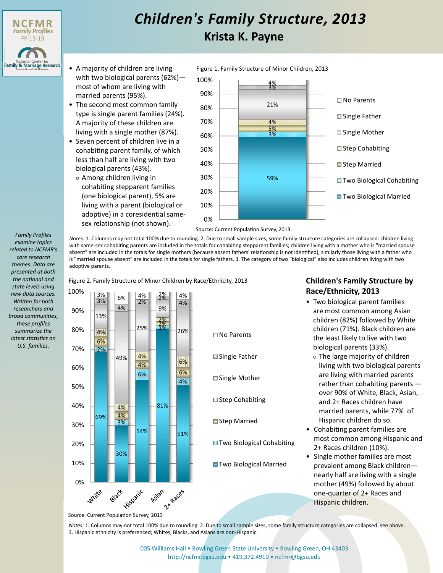

## **Krista K. Payne** *Children's Family Structure, 2013*

Figure 1. Family Structure of Minor Children, 2013

- A majority of children are living with two biological parents (62%) most of whom are living with married parents (95%).
- The second most common family type is single parent families (24%). A majority of these children are living with a single mother (87%).
- Seven percent of children live in a cohabiting parent family, of which less than half are living with two biological parents (43%).
	- Among children living in cohabiting stepparent families (one biological parent), 5% are living with a parent (biological or adoptive) in a coresidential samesex relationship (not shown).



Source: Current Population Survey, 2013

*Notes:* 1. Columns may not total 100% due to rounding. 2. Due to small sample sizes, some family structure categories are collapsed: children living with same-sex cohabiting parents are included in the totals for cohabiting stepparent families; children living with a mother who is "married spouse absent" are included in the totals for single mothers (because absent fathers' relationship is not identified), similarly those living with a father who is "married spouse absent" are included in the totals for single fathers. 3. The category of two "biological" also includes children living with two adoptive parents.

Figure 2. Family Structure of Minor Children by Race/Ethnicity, 2013



- □ No Parents **■** Single Father □ Single Mother **■** Step Cohabiting **■Step Married**
- **E** Two Biological Cohabiting
- Two Biological Married

## **Children's Family Structure by Race/Ethnicity, 2013**

- Two biological parent families are most common among Asian children (82%) followed by White children (71%). Black children are the least likely to live with two biological parents (33%).
	- The large majority of children living with two biological parents are living with married parents rather than cohabiting parents over 90% of White, Black, Asian, and 2+ Races children have married parents, while 77% of Hispanic children do so.
- Cohabiting parent families are most common among Hispanic and 2+ Races children (10%).
- Single mother families are most prevalent among Black children nearly half are living with a single mother (49%) followed by about one-quarter of 2+ Races and Hispanic children.

*Notes:* 1. Columns may not total 100% due to rounding. 2. Due to small sample sizes, some family structure categories are collapsed: see above. 3. Hispanic ethnicity is preferenced; Whites, Blacks, and Asians are non-Hispanic.

> [005 Williams Hall • Bowling Green State University • Bowling Green, OH 43403](http://ncfmr.bgsu.edu) http://ncfmr.bgsu.edu • 419.372.4910 • ncfmr@bgsu.edu

*examine topics related to NCFMR's core research themes. Data are presented at both the national and state levels using new data sources. Written for both researchers and broad communities, these profiles summarize the latest statistics on U.S. families.*

*Family Profiles*